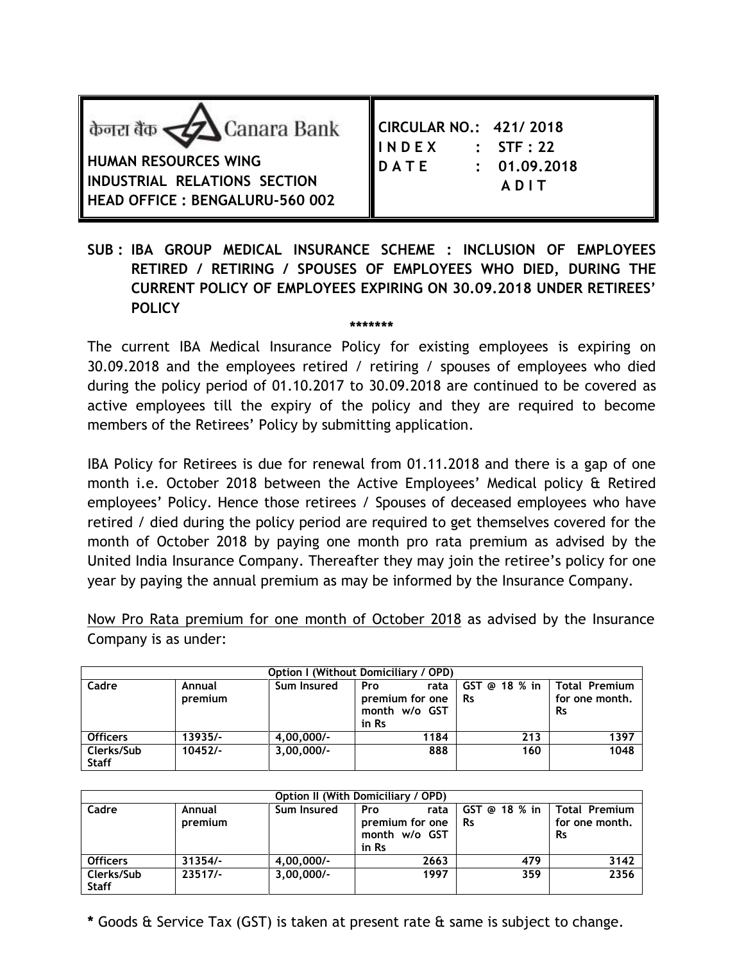| केनरा बैंक <u>&lt;</u> Z Canara Bank<br>HUMAN RESOURCES WING<br>INDUSTRIAL RELATIONS SECTION<br><b>HEAD OFFICE: BENGALURU-560 002</b> | CIRCULAR NO.: 421/2018<br>$I\!I\!I\!I\!N\!I\!D\!I\!E\!X$<br>$\therefore$ STF : 22<br><b>IDATE</b><br>: 01.09.2018<br>ADIT |
|---------------------------------------------------------------------------------------------------------------------------------------|---------------------------------------------------------------------------------------------------------------------------|
|---------------------------------------------------------------------------------------------------------------------------------------|---------------------------------------------------------------------------------------------------------------------------|

## **SUB : IBA GROUP MEDICAL INSURANCE SCHEME : INCLUSION OF EMPLOYEES RETIRED / RETIRING / SPOUSES OF EMPLOYEES WHO DIED, DURING THE CURRENT POLICY OF EMPLOYEES EXPIRING ON 30.09.2018 UNDER RETIREES' POLICY**

**\*\*\*\*\*\*\***

The current IBA Medical Insurance Policy for existing employees is expiring on 30.09.2018 and the employees retired / retiring / spouses of employees who died during the policy period of 01.10.2017 to 30.09.2018 are continued to be covered as active employees till the expiry of the policy and they are required to become members of the Retirees' Policy by submitting application.

IBA Policy for Retirees is due for renewal from 01.11.2018 and there is a gap of one month i.e. October 2018 between the Active Employees' Medical policy & Retired employees' Policy. Hence those retirees / Spouses of deceased employees who have retired / died during the policy period are required to get themselves covered for the month of October 2018 by paying one month pro rata premium as advised by the United India Insurance Company. Thereafter they may join the retiree's policy for one year by paying the annual premium as may be informed by the Insurance Company.

Now Pro Rata premium for one month of October 2018 as advised by the Insurance Company is as under:

| <b>Option I (Without Domiciliary / OPD)</b> |                   |              |                                                          |                              |                                                     |  |
|---------------------------------------------|-------------------|--------------|----------------------------------------------------------|------------------------------|-----------------------------------------------------|--|
| Cadre                                       | Annual<br>premium | Sum Insured  | Pro<br>rata<br>premium for one<br>month w/o GST<br>in Rs | $GST$ @ 18 % in<br><b>Rs</b> | <b>Total Premium</b><br>for one month.<br><b>Rs</b> |  |
| <b>Officers</b>                             | 13935/-           | $4,00,000/-$ | 1184                                                     | 213                          | 1397                                                |  |
| Clerks/Sub<br><b>Staff</b>                  | $10452/-$         | $3,00,000/-$ | 888                                                      | 160                          | 1048                                                |  |

| Option II (With Domiciliary / OPD) |                   |              |                                                          |                            |                                              |  |
|------------------------------------|-------------------|--------------|----------------------------------------------------------|----------------------------|----------------------------------------------|--|
| Cadre                              | Annual<br>premium | Sum Insured  | Pro<br>rata<br>premium for one<br>month w/o GST<br>in Rs | GST @ 18 % in<br><b>Rs</b> | Total Premium<br>for one month.<br><b>Rs</b> |  |
| <b>Officers</b>                    | $31354/-$         | $4,00,000/-$ | 2663                                                     | 479                        | 3142                                         |  |
| Clerks/Sub<br><b>Staff</b>         | $23517/-$         | $3,00,000/-$ | 1997                                                     | 359                        | 2356                                         |  |

**\*** Goods & Service Tax (GST) is taken at present rate & same is subject to change.